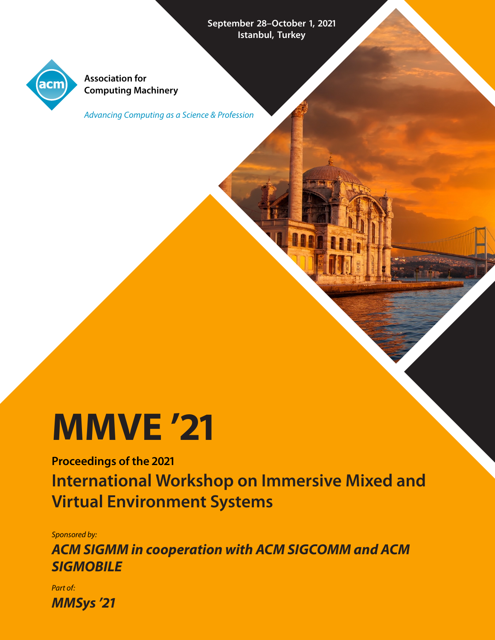September 28-October 1, 2021 **Istanbul, Turkey**



**Association for Computing Machinery**

Advancing Computing as a Science & Profession

# **MMVE '**

**Proceedings of the International Workshop on Immersive Mixed and Virtual Environment Systems**

Sponsored by:

**ACM SIGMM in cooperation with ACM SIGCOMM and ACM SIGMOBILE**

Part of: **MMSys '**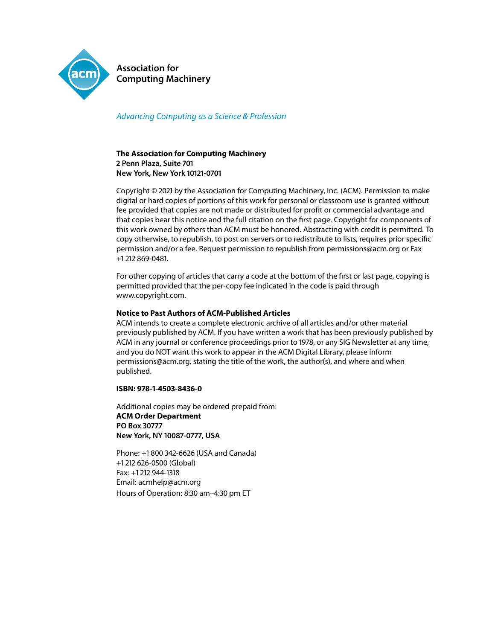

**Association for Computing Machinery**

#### Advancing Computing as a Science & Profession

#### **The Association for Computing Machinery Penn Plaza, Suite New York, New York 10121-0701**

Copyright © 2021 by the Association for Computing Machinery, Inc. (ACM). Permission to make digital or hard copies of portions of this work for personal or classroom use is granted without fee provided that copies are not made or distributed for profit or commercial advantage and that copies bear this notice and the full citation on the first page. Copyright for components of this work owned by others than ACM must be honored. Abstracting with credit is permitted. To copy otherwise, to republish, to post on servers or to redistribute to lists, requires prior specific permission and/or a fee. Request permission to republish from permissions@acm.org or Fax  $+1$  212 869-0481.

For other copying of articles that carry a code at the bottom of the first or last page, copying is permitted provided that the per-copy fee indicated in the code is paid through www.copyright.com.

#### **Notice to Past Authors of ACM-Published Articles**

ACM intends to create a complete electronic archive of all articles and/or other material previously published by ACM. If you have written a work that has been previously published by ACM in any journal or conference proceedings prior to 1978, or any SIG Newsletter at any time, and you do NOT want this work to appear in the ACM Digital Library, please inform permissions@acm.org, stating the title of the work, the author(s), and where and when published.

#### **ISBN: 978-1-4503-8436-0**

Additional copies may be ordered prepaid from: **ACM Order Department PO Box New York, NY 10087-0777, USA** 

Phone: +1800 342-6626 (USA and Canada)  $+1$  212 626-0500 (Global)  $Fax: +1212944-1318$ Email: acmhelp@acm.org Hours of Operation: 8:30 am-4:30 pm ET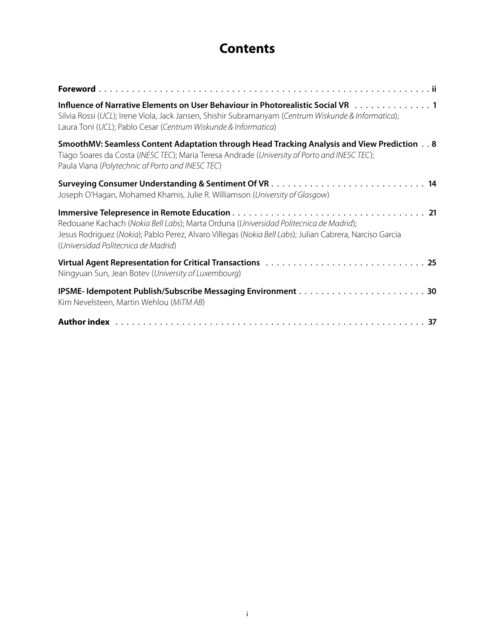### **Contents**

| Influence of Narrative Elements on User Behaviour in Photorealistic Social VR 1<br>Silvia Rossi (UCL); Irene Viola, Jack Jansen, Shishir Subramanyam (Centrum Wiskunde & Informatica);<br>Laura Toni (UCL); Pablo Cesar (Centrum Wiskunde & Informatica) |
|----------------------------------------------------------------------------------------------------------------------------------------------------------------------------------------------------------------------------------------------------------|
| SmoothMV: Seamless Content Adaptation through Head Tracking Analysis and View Prediction 8<br>Tiago Soares da Costa (INESC TEC); Maria Teresa Andrade (University of Porto and INESC TEC);<br>Paula Viana (Polytechnic of Porto and INESC TEC)           |
| Joseph O'Hagan, Mohamed Khamis, Julie R. Williamson (University of Glasgow)                                                                                                                                                                              |
| Redouane Kachach (Nokia Bell Labs); Marta Orduna (Universidad Politecnica de Madrid);<br>Jesus Rodriguez (Nokia); Pablo Perez, Alvaro Villegas (Nokia Bell Labs); Julian Cabrera, Narciso Garcia<br>(Universidad Politecnica de Madrid)                  |
| Ningyuan Sun, Jean Botev (University of Luxembourg)                                                                                                                                                                                                      |
| Kim Nevelsteen, Martin Wehlou (MiTM AB)                                                                                                                                                                                                                  |
|                                                                                                                                                                                                                                                          |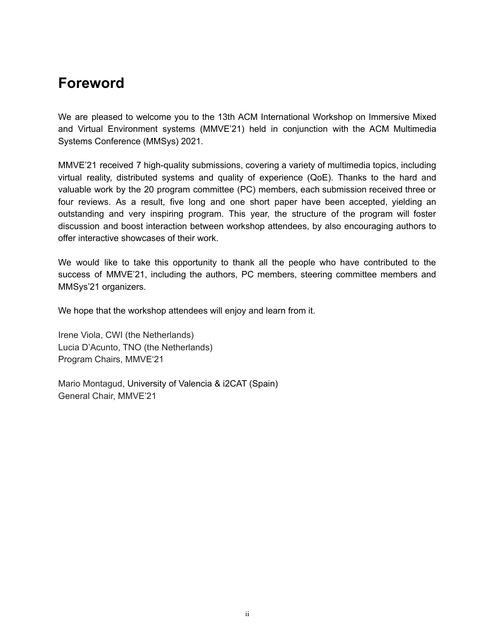## **Foreword**

We are pleased to welcome you to the 13th ACM International Workshop on Immersive Mixed and Virtual Environment systems (MMVE'21) held in conjunction with the ACM Multimedia Systems Conference (MMSys) 2021.

MMVE'21 received 7 high-quality submissions, covering a variety of multimedia topics, including virtual reality, distributed systems and quality of experience (QoE). Thanks to the hard and valuable work by the 20 program committee (PC) members, each submission received three or four reviews. As a result, five long and one short paper have been accepted, yielding an outstanding and very inspiring program. This year, the structure of the program will foster discussion and boost interaction between workshop attendees, by also encouraging authors to offer interactive showcases of their work.

We would like to take this opportunity to thank all the people who have contributed to the success of MMVE'21, including the authors, PC members, steering committee members and MMSys'21 organizers.

We hope that the workshop attendees will enjoy and learn from it.

Irene Viola, CWI (the Netherlands) Lucia D'Acunto, TNO (the Netherlands) Program Chairs, MMVE'21

Mario Montagud, University of Valencia & i2CAT (Spain) General Chair, MMVE'21